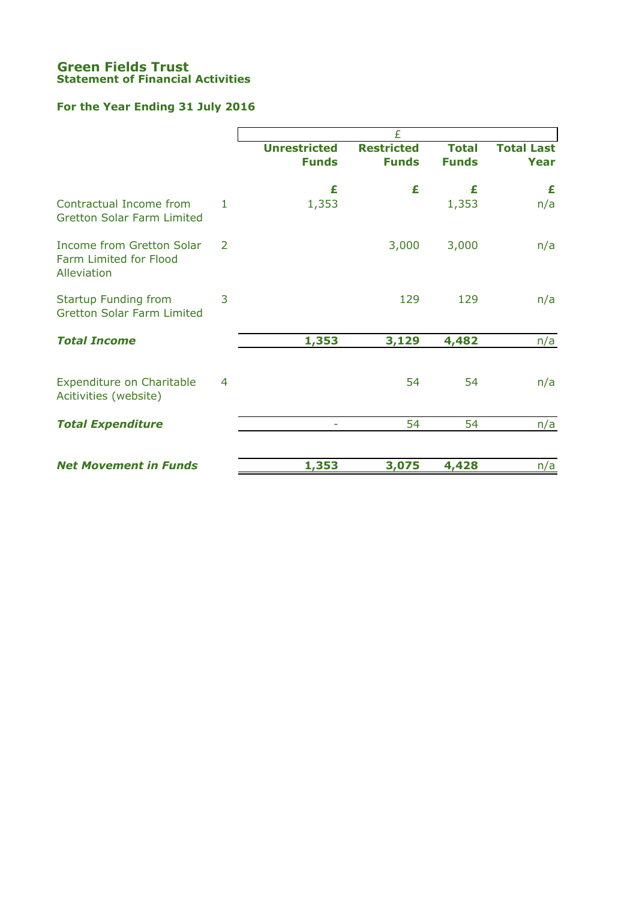### **Green Fields Trust Statement of Financial Activities**

# **For the Year Ending 31 July 2016**

|                                                                           |   | £                                   |                                   |                              |                                  |  |  |
|---------------------------------------------------------------------------|---|-------------------------------------|-----------------------------------|------------------------------|----------------------------------|--|--|
|                                                                           |   | <b>Unrestricted</b><br><b>Funds</b> | <b>Restricted</b><br><b>Funds</b> | <b>Total</b><br><b>Funds</b> | <b>Total Last</b><br><b>Year</b> |  |  |
|                                                                           |   | £                                   | £                                 | £                            | £                                |  |  |
| Contractual Income from<br><b>Gretton Solar Farm Limited</b>              | 1 | 1,353                               |                                   | 1,353                        | n/a                              |  |  |
| <b>Income from Gretton Solar</b><br>Farm Limited for Flood<br>Alleviation | 2 |                                     | 3,000                             | 3,000                        | n/a                              |  |  |
| <b>Startup Funding from</b><br><b>Gretton Solar Farm Limited</b>          | 3 |                                     | 129                               | 129                          | n/a                              |  |  |
| <b>Total Income</b>                                                       |   | 1,353                               | 3,129                             | 4,482                        | n/a                              |  |  |
| Expenditure on Charitable<br>Acitivities (website)                        | 4 |                                     | 54                                | 54                           | n/a                              |  |  |
| <b>Total Expenditure</b>                                                  |   |                                     | 54                                | 54                           | n/a                              |  |  |
|                                                                           |   |                                     |                                   |                              |                                  |  |  |
| <b>Net Movement in Funds</b>                                              |   | 1,353                               | 3,075                             | 4,428                        | n/a                              |  |  |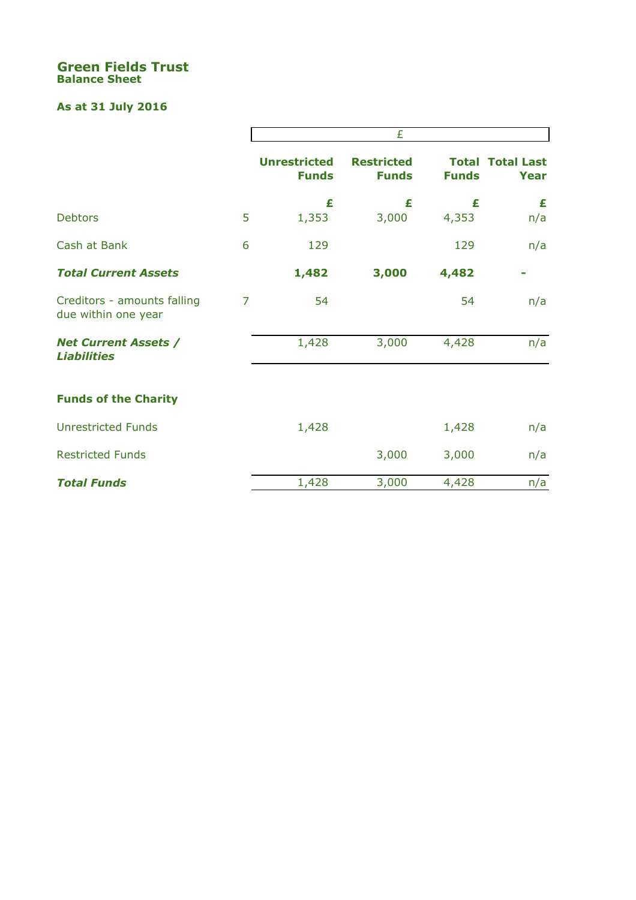### **Green Fields Trust Balance Sheet**

# **As at 31 July 2016**

|                                                    |   | £                                   |                                   |              |                                 |  |
|----------------------------------------------------|---|-------------------------------------|-----------------------------------|--------------|---------------------------------|--|
|                                                    |   | <b>Unrestricted</b><br><b>Funds</b> | <b>Restricted</b><br><b>Funds</b> | <b>Funds</b> | <b>Total Total Last</b><br>Year |  |
| <b>Debtors</b>                                     | 5 | £<br>1,353                          | £<br>3,000                        | £<br>4,353   | £<br>n/a                        |  |
|                                                    |   |                                     |                                   |              |                                 |  |
| Cash at Bank                                       | 6 | 129                                 |                                   | 129          | n/a                             |  |
| <b>Total Current Assets</b>                        |   | 1,482                               | 3,000                             | 4,482        |                                 |  |
| Creditors - amounts falling<br>due within one year | 7 | 54                                  |                                   | 54           | n/a                             |  |
| <b>Net Current Assets /</b><br><b>Liabilities</b>  |   | 1,428                               | 3,000                             | 4,428        | n/a                             |  |
| <b>Funds of the Charity</b>                        |   |                                     |                                   |              |                                 |  |
| <b>Unrestricted Funds</b>                          |   | 1,428                               |                                   | 1,428        | n/a                             |  |
| <b>Restricted Funds</b>                            |   |                                     | 3,000                             | 3,000        | n/a                             |  |
| <b>Total Funds</b>                                 |   | 1,428                               | 3,000                             | 4,428        | n/a                             |  |